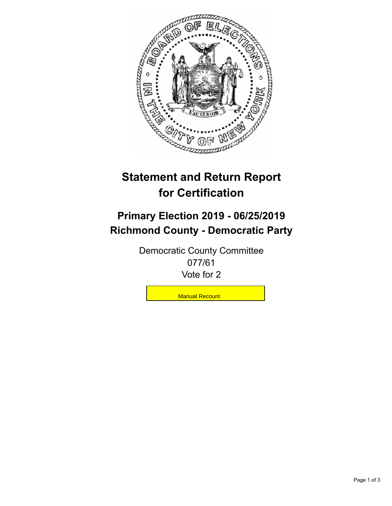

## **Statement and Return Report for Certification**

## **Primary Election 2019 - 06/25/2019 Richmond County - Democratic Party**

Democratic County Committee 077/61 Vote for 2

**Manual Recount**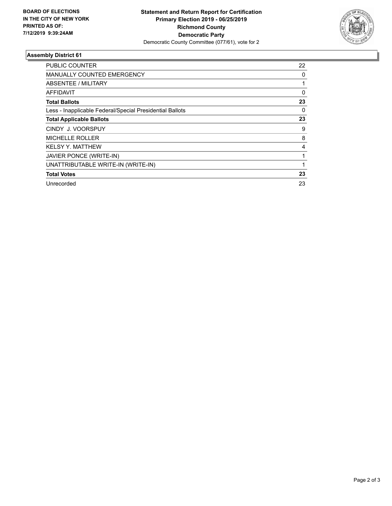

## **Assembly District 61**

| PUBLIC COUNTER                                           | 22 |
|----------------------------------------------------------|----|
| <b>MANUALLY COUNTED EMERGENCY</b>                        | 0  |
| ABSENTEE / MILITARY                                      |    |
| <b>AFFIDAVIT</b>                                         | 0  |
| <b>Total Ballots</b>                                     | 23 |
| Less - Inapplicable Federal/Special Presidential Ballots | 0  |
| <b>Total Applicable Ballots</b>                          | 23 |
| CINDY J. VOORSPUY                                        | 9  |
| <b>MICHELLE ROLLER</b>                                   | 8  |
| <b>KELSY Y. MATTHEW</b>                                  | 4  |
| JAVIER PONCE (WRITE-IN)                                  |    |
| UNATTRIBUTABLE WRITE-IN (WRITE-IN)                       |    |
| <b>Total Votes</b>                                       | 23 |
| Unrecorded                                               | 23 |